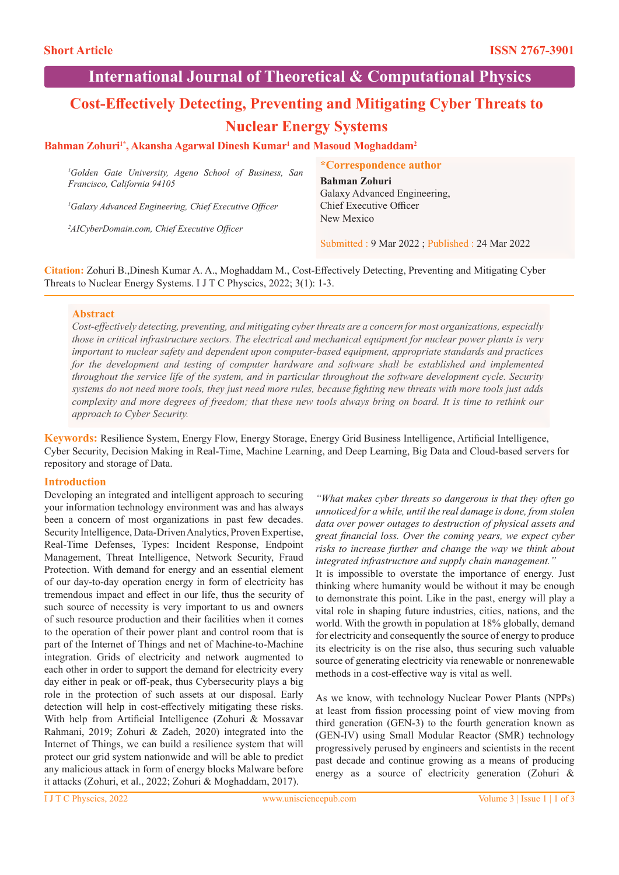# **International Journal of Theoretical & Computational Physics**

# **Cost-Effectively Detecting, Preventing and Mitigating Cyber Threats to Nuclear Energy Systems**

# **Bahman Zohuri1\*, Akansha Agarwal Dinesh Kumar<sup>1</sup> and Masoud Moghaddam<sup>2</sup>**

| <sup>1</sup> Golden Gate University, Ageno School of Business, San | <i>*Correspondence author</i> |
|--------------------------------------------------------------------|-------------------------------|
| Francisco, California 94105                                        | <b>Bahman Zohuri</b>          |
|                                                                    | Galaxy Advanced Engineering,  |
| <sup>1</sup> Galaxy Advanced Engineering, Chief Executive Officer  | Chief Executive Officer       |
|                                                                    | New Mexico                    |
| <sup>2</sup> AICyberDomain.com, Chief Executive Officer            |                               |

Submitted : 9 Mar 2022 ; Published : 24 Mar 2022

**Citation:** Zohuri B.,Dinesh Kumar A. A., Moghaddam M., Cost-Effectively Detecting, Preventing and Mitigating Cyber Threats to Nuclear Energy Systems. I J T C Physcics, 2022; 3(1): 1-3.

# **Abstract**

*Cost-effectively detecting, preventing, and mitigating cyber threats are a concern for most organizations, especially those in critical infrastructure sectors. The electrical and mechanical equipment for nuclear power plants is very important to nuclear safety and dependent upon computer-based equipment, appropriate standards and practices for the development and testing of computer hardware and software shall be established and implemented throughout the service life of the system, and in particular throughout the software development cycle. Security systems do not need more tools, they just need more rules, because fighting new threats with more tools just adds*  complexity and more degrees of freedom; that these new tools always bring on board. It is time to rethink our *approach to Cyber Security.*

**Keywords:** Resilience System, Energy Flow, Energy Storage, Energy Grid Business Intelligence, Artificial Intelligence, Cyber Security, Decision Making in Real-Time, Machine Learning, and Deep Learning, Big Data and Cloud-based servers for repository and storage of Data.

# **Introduction**

Developing an integrated and intelligent approach to securing your information technology environment was and has always been a concern of most organizations in past few decades. Security Intelligence, Data-Driven Analytics, Proven Expertise, Real-Time Defenses, Types: Incident Response, Endpoint Management, Threat Intelligence, Network Security, Fraud Protection. With demand for energy and an essential element of our day-to-day operation energy in form of electricity has tremendous impact and effect in our life, thus the security of such source of necessity is very important to us and owners of such resource production and their facilities when it comes to the operation of their power plant and control room that is part of the Internet of Things and net of Machine-to-Machine integration. Grids of electricity and network augmented to each other in order to support the demand for electricity every day either in peak or off-peak, thus Cybersecurity plays a big role in the protection of such assets at our disposal. Early detection will help in cost-effectively mitigating these risks. With help from Artificial Intelligence (Zohuri & Mossavar Rahmani, 2019; Zohuri & Zadeh, 2020) integrated into the Internet of Things, we can build a resilience system that will protect our grid system nationwide and will be able to predict any malicious attack in form of energy blocks Malware before it attacks (Zohuri, et al., 2022; Zohuri & Moghaddam, 2017).

*"What makes cyber threats so dangerous is that they often go unnoticed for a while, until the real damage is done, from stolen data over power outages to destruction of physical assets and great financial loss. Over the coming years, we expect cyber risks to increase further and change the way we think about integrated infrastructure and supply chain management."*

It is impossible to overstate the importance of energy. Just thinking where humanity would be without it may be enough to demonstrate this point. Like in the past, energy will play a vital role in shaping future industries, cities, nations, and the world. With the growth in population at 18% globally, demand for electricity and consequently the source of energy to produce its electricity is on the rise also, thus securing such valuable source of generating electricity via renewable or nonrenewable methods in a cost-effective way is vital as well.

As we know, with technology Nuclear Power Plants (NPPs) at least from fission processing point of view moving from third generation (GEN-3) to the fourth generation known as (GEN-IV) using Small Modular Reactor (SMR) technology progressively perused by engineers and scientists in the recent past decade and continue growing as a means of producing energy as a source of electricity generation (Zohuri &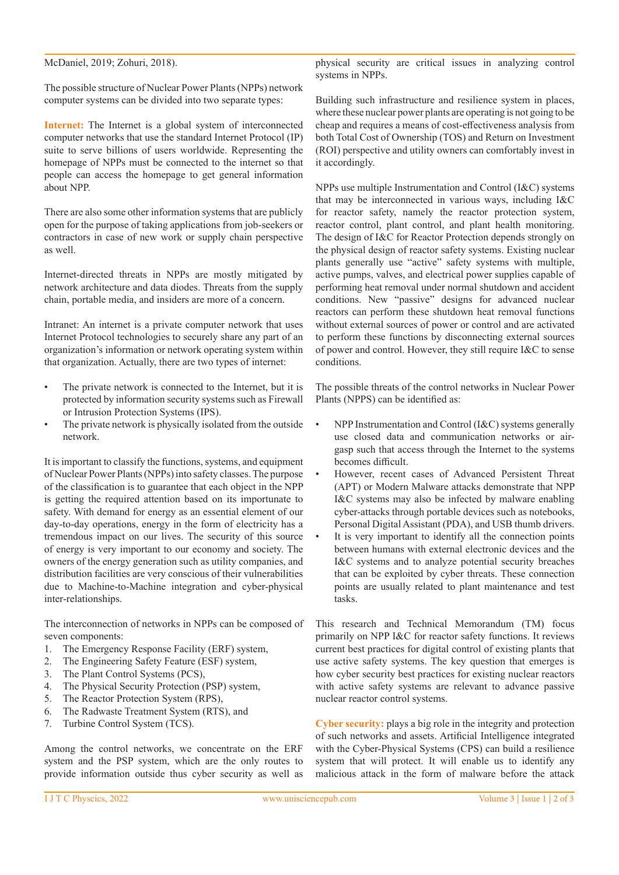McDaniel, 2019; Zohuri, 2018).

The possible structure of Nuclear Power Plants (NPPs) network computer systems can be divided into two separate types:

**Internet:** The Internet is a global system of interconnected computer networks that use the standard Internet Protocol (IP) suite to serve billions of users worldwide. Representing the homepage of NPPs must be connected to the internet so that people can access the homepage to get general information about NPP.

There are also some other information systems that are publicly open for the purpose of taking applications from job-seekers or contractors in case of new work or supply chain perspective as well.

Internet-directed threats in NPPs are mostly mitigated by network architecture and data diodes. Threats from the supply chain, portable media, and insiders are more of a concern.

Intranet: An internet is a private computer network that uses Internet Protocol technologies to securely share any part of an organization's information or network operating system within that organization. Actually, there are two types of internet:

- The private network is connected to the Internet, but it is protected by information security systems such as Firewall or Intrusion Protection Systems (IPS).
- The private network is physically isolated from the outside network.

It is important to classify the functions, systems, and equipment of Nuclear Power Plants (NPPs) into safety classes. The purpose of the classification is to guarantee that each object in the NPP is getting the required attention based on its importunate to safety. With demand for energy as an essential element of our day-to-day operations, energy in the form of electricity has a tremendous impact on our lives. The security of this source of energy is very important to our economy and society. The owners of the energy generation such as utility companies, and distribution facilities are very conscious of their vulnerabilities due to Machine-to-Machine integration and cyber-physical inter-relationships.

The interconnection of networks in NPPs can be composed of seven components:

- 1. The Emergency Response Facility (ERF) system,
- 2. The Engineering Safety Feature (ESF) system,
- 3. The Plant Control Systems (PCS),
- 4. The Physical Security Protection (PSP) system,
- 5. The Reactor Protection System (RPS),
- 6. The Radwaste Treatment System (RTS), and
- 7. Turbine Control System (TCS).

Among the control networks, we concentrate on the ERF system and the PSP system, which are the only routes to provide information outside thus cyber security as well as physical security are critical issues in analyzing control systems in NPPs.

Building such infrastructure and resilience system in places, where these nuclear power plants are operating is not going to be cheap and requires a means of cost-effectiveness analysis from both Total Cost of Ownership (TOS) and Return on Investment (ROI) perspective and utility owners can comfortably invest in it accordingly.

NPPs use multiple Instrumentation and Control (I&C) systems that may be interconnected in various ways, including I&C for reactor safety, namely the reactor protection system, reactor control, plant control, and plant health monitoring. The design of I&C for Reactor Protection depends strongly on the physical design of reactor safety systems. Existing nuclear plants generally use "active" safety systems with multiple, active pumps, valves, and electrical power supplies capable of performing heat removal under normal shutdown and accident conditions. New "passive" designs for advanced nuclear reactors can perform these shutdown heat removal functions without external sources of power or control and are activated to perform these functions by disconnecting external sources of power and control. However, they still require I&C to sense conditions.

The possible threats of the control networks in Nuclear Power Plants (NPPS) can be identified as:

- NPP Instrumentation and Control (I&C) systems generally use closed data and communication networks or airgasp such that access through the Internet to the systems becomes difficult.
- However, recent cases of Advanced Persistent Threat (APT) or Modern Malware attacks demonstrate that NPP I&C systems may also be infected by malware enabling cyber-attacks through portable devices such as notebooks, Personal Digital Assistant (PDA), and USB thumb drivers.
- It is very important to identify all the connection points between humans with external electronic devices and the I&C systems and to analyze potential security breaches that can be exploited by cyber threats. These connection points are usually related to plant maintenance and test tasks.

This research and Technical Memorandum (TM) focus primarily on NPP I&C for reactor safety functions. It reviews current best practices for digital control of existing plants that use active safety systems. The key question that emerges is how cyber security best practices for existing nuclear reactors with active safety systems are relevant to advance passive nuclear reactor control systems.

**Cyber security:** plays a big role in the integrity and protection of such networks and assets. Artificial Intelligence integrated with the Cyber-Physical Systems (CPS) can build a resilience system that will protect. It will enable us to identify any malicious attack in the form of malware before the attack